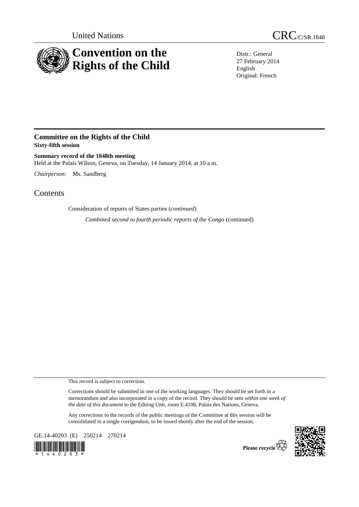

United Nations CRC/C/SR.1848

Distr.: General 27 February 2014 English Original: French

## **Committee on the Rights of the Child Sixty-fifth session**

**Summary record of the 1848th meeting**  Held at the Palais Wilson, Geneva, on Tuesday, 14 January 2014, at 10 a.m.

*Chairperson*: Ms. Sandberg

Contents

Consideration of reports of States parties (*continued*)

*Combined second to fourth periodic reports of the Congo* (continued)

This record is subject to correction.

Corrections should be submitted in one of the working languages. They should be set forth in a memorandum and also incorporated in a copy of the record. They should be sent *within one week of the date of this document* to the Editing Unit, room E.4108, Palais des Nations, Geneva.

Any corrections to the records of the public meetings of the Committee at this session will be consolidated in a single corrigendum, to be issued shortly after the end of the session.

GE.14-40203 (E) 250214 270214





Please recycle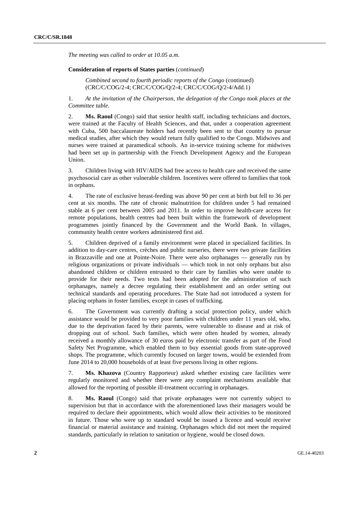*The meeting was called to order at 10.05 a.m.* 

## **Consideration of reports of States parties** (*continued*)

*Combined second to fourth periodic reports of the Congo* (continued) (CRC/C/COG/2-4; CRC/C/COG/Q/2-4; CRC/C/COG/Q/2-4/Add.1)

1. *At the invitation of the Chairperson, the delegation of the Congo took places at the Committee table*.

2. **Ms. Raoul** (Congo) said that senior health staff, including technicians and doctors, were trained at the Faculty of Health Sciences, and that, under a cooperation agreement with Cuba, 500 baccalaureate holders had recently been sent to that country to pursue medical studies, after which they would return fully qualified to the Congo. Midwives and nurses were trained at paramedical schools. An in-service training scheme for midwives had been set up in partnership with the French Development Agency and the European Union.

3. Children living with HIV/AIDS had free access to health care and received the same psychosocial care as other vulnerable children. Incentives were offered to families that took in orphans.

4. The rate of exclusive breast-feeding was above 90 per cent at birth but fell to 36 per cent at six months. The rate of chronic malnutrition for children under 5 had remained stable at 6 per cent between 2005 and 2011. In order to improve health-care access for remote populations, health centres had been built within the framework of development programmes jointly financed by the Government and the World Bank. In villages, community health centre workers administered first aid.

5. Children deprived of a family environment were placed in specialized facilities. In addition to day-care centres, crèches and public nurseries, there were two private facilities in Brazzaville and one at Pointe-Noire. There were also orphanages — generally run by religious organizations or private individuals — which took in not only orphans but also abandoned children or children entrusted to their care by families who were unable to provide for their needs. Two texts had been adopted for the administration of such orphanages, namely a decree regulating their establishment and an order setting out technical standards and operating procedures. The State had not introduced a system for placing orphans in foster families, except in cases of trafficking.

6. The Government was currently drafting a social protection policy, under which assistance would be provided to very poor families with children under 11 years old, who, due to the deprivation faced by their parents, were vulnerable to disease and at risk of dropping out of school. Such families, which were often headed by women, already received a monthly allowance of 30 euros paid by electronic transfer as part of the Food Safety Net Programme, which enabled them to buy essential goods from state-approved shops. The programme, which currently focused on larger towns, would be extended from June 2014 to 20,000 households of at least five persons living in other regions.

7. **Ms. Khazova** (Country Rapporteur) asked whether existing care facilities were regularly monitored and whether there were any complaint mechanisms available that allowed for the reporting of possible ill-treatment occurring in orphanages.

8. **Ms. Raoul** (Congo) said that private orphanages were not currently subject to supervision but that in accordance with the aforementioned laws their managers would be required to declare their appointments, which would allow their activities to be monitored in future. Those who were up to standard would be issued a licence and would receive financial or material assistance and training. Orphanages which did not meet the required standards, particularly in relation to sanitation or hygiene, would be closed down.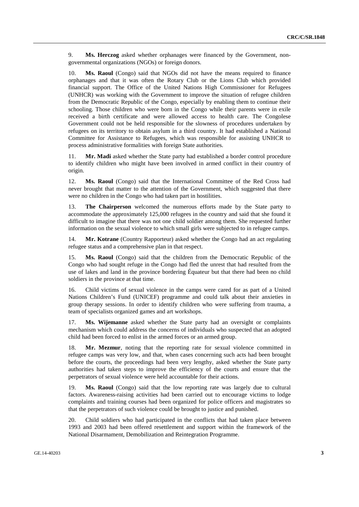9. **Ms. Herczog** asked whether orphanages were financed by the Government, nongovernmental organizations (NGOs) or foreign donors.

10. **Ms. Raoul** (Congo) said that NGOs did not have the means required to finance orphanages and that it was often the Rotary Club or the Lions Club which provided financial support. The Office of the United Nations High Commissioner for Refugees (UNHCR) was working with the Government to improve the situation of refugee children from the Democratic Republic of the Congo, especially by enabling them to continue their schooling. Those children who were born in the Congo while their parents were in exile received a birth certificate and were allowed access to health care. The Congolese Government could not be held responsible for the slowness of procedures undertaken by refugees on its territory to obtain asylum in a third country. It had established a National Committee for Assistance to Refugees, which was responsible for assisting UNHCR to process administrative formalities with foreign State authorities.

11. **Mr. Madi** asked whether the State party had established a border control procedure to identify children who might have been involved in armed conflict in their country of origin.

12. **Ms. Raoul** (Congo) said that the International Committee of the Red Cross had never brought that matter to the attention of the Government, which suggested that there were no children in the Congo who had taken part in hostilities.

13. **The Chairperson** welcomed the numerous efforts made by the State party to accommodate the approximately 125,000 refugees in the country and said that she found it difficult to imagine that there was not one child soldier among them. She requested further information on the sexual violence to which small girls were subjected to in refugee camps.

14. **Mr. Kotrane** (Country Rapporteur) asked whether the Congo had an act regulating refugee status and a comprehensive plan in that respect.

15. **Ms. Raoul** (Congo) said that the children from the Democratic Republic of the Congo who had sought refuge in the Congo had fled the unrest that had resulted from the use of lakes and land in the province bordering Équateur but that there had been no child soldiers in the province at that time.

16. Child victims of sexual violence in the camps were cared for as part of a United Nations Children's Fund (UNICEF) programme and could talk about their anxieties in group therapy sessions. In order to identify children who were suffering from trauma, a team of specialists organized games and art workshops.

17. **Ms. Wijemanne** asked whether the State party had an oversight or complaints mechanism which could address the concerns of individuals who suspected that an adopted child had been forced to enlist in the armed forces or an armed group.

18. **Mr. Mezmur**, noting that the reporting rate for sexual violence committed in refugee camps was very low, and that, when cases concerning such acts had been brought before the courts, the proceedings had been very lengthy, asked whether the State party authorities had taken steps to improve the efficiency of the courts and ensure that the perpetrators of sexual violence were held accountable for their actions.

19. **Ms. Raoul** (Congo) said that the low reporting rate was largely due to cultural factors. Awareness-raising activities had been carried out to encourage victims to lodge complaints and training courses had been organized for police officers and magistrates so that the perpetrators of such violence could be brought to justice and punished.

20. Child soldiers who had participated in the conflicts that had taken place between 1993 and 2003 had been offered resettlement and support within the framework of the National Disarmament, Demobilization and Reintegration Programme.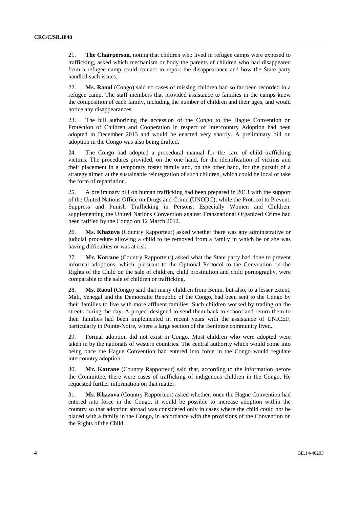21. **The Chairperson**, noting that children who lived in refugee camps were exposed to trafficking, asked which mechanism or body the parents of children who had disappeared from a refugee camp could contact to report the disappearance and how the State party handled such issues.

22. **Ms. Raoul** (Congo) said no cases of missing children had so far been recorded in a refugee camp. The staff members that provided assistance to families in the camps knew the composition of each family, including the number of children and their ages, and would notice any disappearances.

23. The bill authorizing the accession of the Congo to the Hague Convention on Protection of Children and Cooperation in respect of Intercountry Adoption had been adopted in December 2013 and would be enacted very shortly. A preliminary bill on adoption in the Congo was also being drafted.

24. The Congo had adopted a procedural manual for the care of child trafficking victims. The procedures provided, on the one hand, for the identification of victims and their placement in a temporary foster family and, on the other hand, for the pursuit of a strategy aimed at the sustainable reintegration of such children, which could be local or take the form of repatriation.

25. A preliminary bill on human trafficking had been prepared in 2013 with the support of the United Nations Office on Drugs and Crime (UNODC), while the Protocol to Prevent, Suppress and Punish Trafficking in Persons, Especially Women and Children, supplementing the United Nations Convention against Transnational Organized Crime had been ratified by the Congo on 12 March 2012.

26. **Ms. Khazova** (Country Rapporteur) asked whether there was any administrative or judicial procedure allowing a child to be removed from a family in which he or she was having difficulties or was at risk.

27. **Mr. Kotrane** (Country Rapporteur) asked what the State party had done to prevent informal adoptions, which, pursuant to the Optional Protocol to the Convention on the Rights of the Child on the sale of children, child prostitution and child pornography, were comparable to the sale of children or trafficking.

28. **Ms. Raoul** (Congo) said that many children from Benin, but also, to a lesser extent, Mali, Senegal and the Democratic Republic of the Congo, had been sent to the Congo by their families to live with more affluent families. Such children worked by trading on the streets during the day. A project designed to send them back to school and return them to their families had been implemented in recent years with the assistance of UNICEF, particularly in Pointe-Noire, where a large section of the Beninese community lived.

29. Formal adoption did not exist in Congo. Most children who were adopted were taken in by the nationals of western countries. The central authority which would come into being once the Hague Convention had entered into force in the Congo would regulate intercountry adoption.

30. **Mr. Kotrane** (Country Rapporteur) said that, according to the information before the Committee, there were cases of trafficking of indigenous children in the Congo. He requested further information on that matter.

31. **Ms. Khazova** (Country Rapporteur) asked whether, once the Hague Convention had entered into force in the Congo, it would be possible to increase adoption within the country so that adoption abroad was considered only in cases where the child could not be placed with a family in the Congo, in accordance with the provisions of the Convention on the Rights of the Child.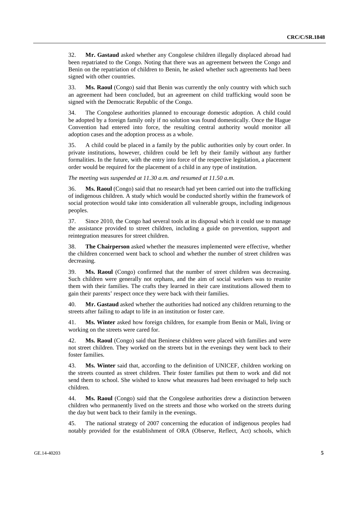32. **Mr. Gastaud** asked whether any Congolese children illegally displaced abroad had been repatriated to the Congo. Noting that there was an agreement between the Congo and Benin on the repatriation of children to Benin, he asked whether such agreements had been signed with other countries.

33. **Ms. Raoul** (Congo) said that Benin was currently the only country with which such an agreement had been concluded, but an agreement on child trafficking would soon be signed with the Democratic Republic of the Congo.

34. The Congolese authorities planned to encourage domestic adoption. A child could be adopted by a foreign family only if no solution was found domestically. Once the Hague Convention had entered into force, the resulting central authority would monitor all adoption cases and the adoption process as a whole.

35. A child could be placed in a family by the public authorities only by court order. In private institutions, however, children could be left by their family without any further formalities. In the future, with the entry into force of the respective legislation, a placement order would be required for the placement of a child in any type of institution.

*The meeting was suspended at 11.30 a.m. and resumed at 11.50 a.m.* 

36. **Ms. Raoul** (Congo) said that no research had yet been carried out into the trafficking of indigenous children. A study which would be conducted shortly within the framework of social protection would take into consideration all vulnerable groups, including indigenous peoples.

37. Since 2010, the Congo had several tools at its disposal which it could use to manage the assistance provided to street children, including a guide on prevention, support and reintegration measures for street children.

38. **The Chairperson** asked whether the measures implemented were effective, whether the children concerned went back to school and whether the number of street children was decreasing.

39. **Ms. Raoul** (Congo) confirmed that the number of street children was decreasing. Such children were generally not orphans, and the aim of social workers was to reunite them with their families. The crafts they learned in their care institutions allowed them to gain their parents' respect once they were back with their families.

40. **Mr. Gastaud** asked whether the authorities had noticed any children returning to the streets after failing to adapt to life in an institution or foster care.

41. **Ms. Winter** asked how foreign children, for example from Benin or Mali, living or working on the streets were cared for.

42. **Ms. Raoul** (Congo) said that Beninese children were placed with families and were not street children. They worked on the streets but in the evenings they went back to their foster families.

43. **Ms. Winter** said that, according to the definition of UNICEF, children working on the streets counted as street children. Their foster families put them to work and did not send them to school. She wished to know what measures had been envisaged to help such children.

44. **Ms. Raoul** (Congo) said that the Congolese authorities drew a distinction between children who permanently lived on the streets and those who worked on the streets during the day but went back to their family in the evenings.

45. The national strategy of 2007 concerning the education of indigenous peoples had notably provided for the establishment of ORA (Observe, Reflect, Act) schools, which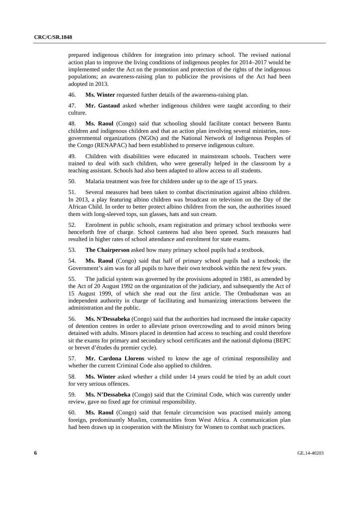prepared indigenous children for integration into primary school. The revised national action plan to improve the living conditions of indigenous peoples for 2014–2017 would be implemented under the Act on the promotion and protection of the rights of the indigenous populations; an awareness-raising plan to publicize the provisions of the Act had been adopted in 2013.

46. **Ms. Winter** requested further details of the awareness-raising plan.

47. **Mr. Gastaud** asked whether indigenous children were taught according to their culture.

48. **Ms. Raoul** (Congo) said that schooling should facilitate contact between Bantu children and indigenous children and that an action plan involving several ministries, nongovernmental organizations (NGOs) and the National Network of Indigenous Peoples of the Congo (RENAPAC) had been established to preserve indigenous culture.

49. Children with disabilities were educated in mainstream schools. Teachers were trained to deal with such children, who were generally helped in the classroom by a teaching assistant. Schools had also been adapted to allow access to all students.

50. Malaria treatment was free for children under up to the age of 15 years.

51. Several measures had been taken to combat discrimination against albino children. In 2013, a play featuring albino children was broadcast on television on the Day of the African Child. In order to better protect albino children from the sun, the authorities issued them with long-sleeved tops, sun glasses, hats and sun cream.

52. Enrolment in public schools, exam registration and primary school textbooks were henceforth free of charge. School canteens had also been opened. Such measures had resulted in higher rates of school attendance and enrolment for state exams.

53. **The Chairperson** asked how many primary school pupils had a textbook.

54. **Ms. Raoul** (Congo) said that half of primary school pupils had a textbook; the Government's aim was for all pupils to have their own textbook within the next few years.

55. The judicial system was governed by the provisions adopted in 1981, as amended by the Act of 20 August 1992 on the organization of the judiciary, and subsequently the Act of 15 August 1999, of which she read out the first article. The Ombudsman was an independent authority in charge of facilitating and humanizing interactions between the administration and the public.

56. **Ms. N'Dessabeka** (Congo) said that the authorities had increased the intake capacity of detention centres in order to alleviate prison overcrowding and to avoid minors being detained with adults. Minors placed in detention had access to teaching and could therefore sit the exams for primary and secondary school certificates and the national diploma (BEPC or brevet d'études du premier cycle).

57. **Mr. Cardona Llorens** wished to know the age of criminal responsibility and whether the current Criminal Code also applied to children.

58. **Ms. Winter** asked whether a child under 14 years could be tried by an adult court for very serious offences.

59. **Ms. N'Dessabeka** (Congo) said that the Criminal Code, which was currently under review, gave no fixed age for criminal responsibility.

60. **Ms. Raoul** (Congo) said that female circumcision was practised mainly among foreign, predominantly Muslim, communities from West Africa. A communication plan had been drawn up in cooperation with the Ministry for Women to combat such practices.